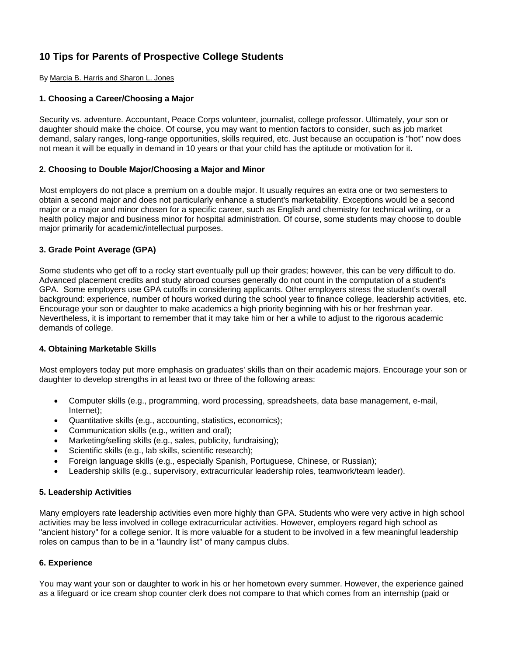# **10 Tips for Parents of Prospective College Students**

By Marcia B. Harris and Sharon L. Jones

#### **1. Choosing a Career/Choosing a Major**

Security vs. adventure. Accountant, Peace Corps volunteer, journalist, college professor. Ultimately, your son or daughter should make the choice. Of course, you may want to mention factors to consider, such as job market demand, salary ranges, long-range opportunities, skills required, etc. Just because an occupation is "hot" now does not mean it will be equally in demand in 10 years or that your child has the aptitude or motivation for it.

#### **2. Choosing to Double Major/Choosing a Major and Minor**

Most employers do not place a premium on a double major. It usually requires an extra one or two semesters to obtain a second major and does not particularly enhance a student's marketability. Exceptions would be a second major or a major and minor chosen for a specific career, such as English and chemistry for technical writing, or a health policy major and business minor for hospital administration. Of course, some students may choose to double major primarily for academic/intellectual purposes.

#### **3. Grade Point Average (GPA)**

Some students who get off to a rocky start eventually pull up their grades; however, this can be very difficult to do. Advanced placement credits and study abroad courses generally do not count in the computation of a student's GPA. Some employers use GPA cutoffs in considering applicants. Other employers stress the student's overall background: experience, number of hours worked during the school year to finance college, leadership activities, etc. Encourage your son or daughter to make academics a high priority beginning with his or her freshman year. Nevertheless, it is important to remember that it may take him or her a while to adjust to the rigorous academic demands of college.

## **4. Obtaining Marketable Skills**

Most employers today put more emphasis on graduates' skills than on their academic majors. Encourage your son or daughter to develop strengths in at least two or three of the following areas:

- Computer skills (e.g., programming, word processing, spreadsheets, data base management, e-mail, Internet);
- Quantitative skills (e.g., accounting, statistics, economics);
- Communication skills (e.g., written and oral);
- Marketing/selling skills (e.g., sales, publicity, fundraising);
- Scientific skills (e.g., lab skills, scientific research);
- Foreign language skills (e.g., especially Spanish, Portuguese, Chinese, or Russian);
- Leadership skills (e.g., supervisory, extracurricular leadership roles, teamwork/team leader).

#### **5. Leadership Activities**

Many employers rate leadership activities even more highly than GPA. Students who were very active in high school activities may be less involved in college extracurricular activities. However, employers regard high school as "ancient history" for a college senior. It is more valuable for a student to be involved in a few meaningful leadership roles on campus than to be in a "laundry list" of many campus clubs.

#### **6. Experience**

You may want your son or daughter to work in his or her hometown every summer. However, the experience gained as a lifeguard or ice cream shop counter clerk does not compare to that which comes from an internship (paid or